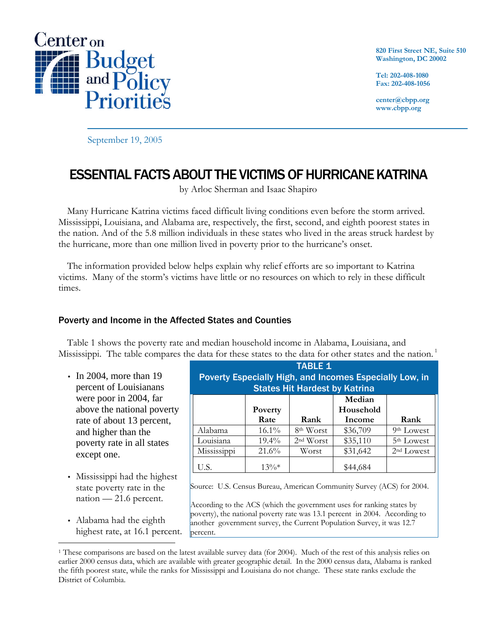

**820 First Street NE, Suite 510 Washington, DC 20002**

**Tel: 202-408-1080 Fax: 202-408-1056**

**center@cbpp.org www.cbpp.org**

September 19, 2005

# ESSENTIAL FACTS ABOUT THE VICTIMS OF HURRICANE KATRINA

by Arloc Sherman and Isaac Shapiro

Many Hurricane Katrina victims faced difficult living conditions even before the storm arrived. Mississippi, Louisiana, and Alabama are, respectively, the first, second, and eighth poorest states in the nation. And of the 5.8 million individuals in these states who lived in the areas struck hardest by the hurricane, more than one million lived in poverty prior to the hurricane's onset.

The information provided below helps explain why relief efforts are so important to Katrina victims. Many of the storm's victims have little or no resources on which to rely in these difficult times.

## Poverty and Income in the Affected States and Counties

Table 1 shows the poverty rate and median household income in Alabama, Louisiana, and Mississippi. The table compares the data for these states to the data for other states and the nation.<sup>1</sup>

- In 2004, more than 19 percent of Louisianans were poor in 2004, far above the national poverty rate of about 13 percent, and higher than the poverty rate in all states except one.
- Mississippi had the highest state poverty rate in the nation — 21.6 percent.
- Alabama had the eighth highest rate, at 16.1 percent.

<u>.</u>

| <b>TABLE 1</b><br>Poverty Especially High, and Incomes Especially Low, in<br><b>States Hit Hardest by Katrina</b> |          |                       |                     |                        |  |  |  |  |  |  |
|-------------------------------------------------------------------------------------------------------------------|----------|-----------------------|---------------------|------------------------|--|--|--|--|--|--|
|                                                                                                                   | Poverty  |                       | Median<br>Household |                        |  |  |  |  |  |  |
|                                                                                                                   | Rate     | <b>Rank</b>           | Income              | Rank                   |  |  |  |  |  |  |
| Alabama                                                                                                           | $16.1\%$ | 8 <sup>th</sup> Worst | \$36,709            | 9 <sup>th</sup> Lowest |  |  |  |  |  |  |
| Louisiana                                                                                                         | $19.4\%$ | 2 <sup>nd</sup> Worst | \$35,110            | <sup>5th</sup> Lowest  |  |  |  |  |  |  |
| Mississippi                                                                                                       | $21.6\%$ | Worst                 | \$31,642            | 2 <sup>nd</sup> Lowest |  |  |  |  |  |  |
| U.S.                                                                                                              | $13\%*$  |                       | \$44,684            |                        |  |  |  |  |  |  |

Source: U.S. Census Bureau, American Community Survey (ACS) for 2004.

According to the ACS (which the government uses for ranking states by poverty), the national poverty rate was 13.1 percent in 2004. According to another government survey, the Current Population Survey, it was 12.7 percent.

<sup>1</sup> These comparisons are based on the latest available survey data (for 2004). Much of the rest of this analysis relies on earlier 2000 census data, which are available with greater geographic detail. In the 2000 census data, Alabama is ranked the fifth poorest state, while the ranks for Mississippi and Louisiana do not change. These state ranks exclude the District of Columbia.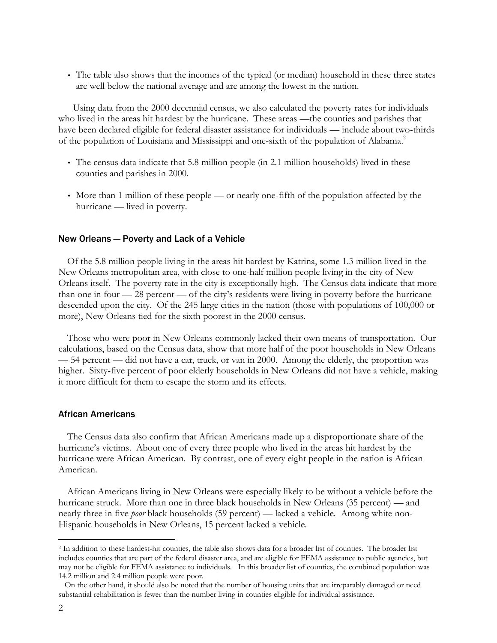• The table also shows that the incomes of the typical (or median) household in these three states are well below the national average and are among the lowest in the nation.

Using data from the 2000 decennial census, we also calculated the poverty rates for individuals who lived in the areas hit hardest by the hurricane. These areas —the counties and parishes that have been declared eligible for federal disaster assistance for individuals — include about two-thirds of the population of Louisiana and Mississippi and one-sixth of the population of Alabama.<sup>2</sup>

- The census data indicate that 5.8 million people (in 2.1 million households) lived in these counties and parishes in 2000.
- More than 1 million of these people or nearly one-fifth of the population affected by the hurricane — lived in poverty.

## New Orleans — Poverty and Lack of a Vehicle

Of the 5.8 million people living in the areas hit hardest by Katrina, some 1.3 million lived in the New Orleans metropolitan area, with close to one-half million people living in the city of New Orleans itself. The poverty rate in the city is exceptionally high. The Census data indicate that more than one in four — 28 percent — of the city's residents were living in poverty before the hurricane descended upon the city. Of the 245 large cities in the nation (those with populations of 100,000 or more), New Orleans tied for the sixth poorest in the 2000 census.

Those who were poor in New Orleans commonly lacked their own means of transportation. Our calculations, based on the Census data, show that more half of the poor households in New Orleans — 54 percent — did not have a car, truck, or van in 2000. Among the elderly, the proportion was higher. Sixty-five percent of poor elderly households in New Orleans did not have a vehicle, making it more difficult for them to escape the storm and its effects.

#### African Americans

The Census data also confirm that African Americans made up a disproportionate share of the hurricane's victims. About one of every three people who lived in the areas hit hardest by the hurricane were African American. By contrast, one of every eight people in the nation is African American.

African Americans living in New Orleans were especially likely to be without a vehicle before the hurricane struck. More than one in three black households in New Orleans (35 percent) — and nearly three in five *poor* black households (59 percent) — lacked a vehicle. Among white non-Hispanic households in New Orleans, 15 percent lacked a vehicle.

-

<sup>2</sup> In addition to these hardest-hit counties, the table also shows data for a broader list of counties. The broader list includes counties that are part of the federal disaster area, and are eligible for FEMA assistance to public agencies, but may not be eligible for FEMA assistance to individuals. In this broader list of counties, the combined population was 14.2 million and 2.4 million people were poor.

On the other hand, it should also be noted that the number of housing units that are irreparably damaged or need substantial rehabilitation is fewer than the number living in counties eligible for individual assistance.